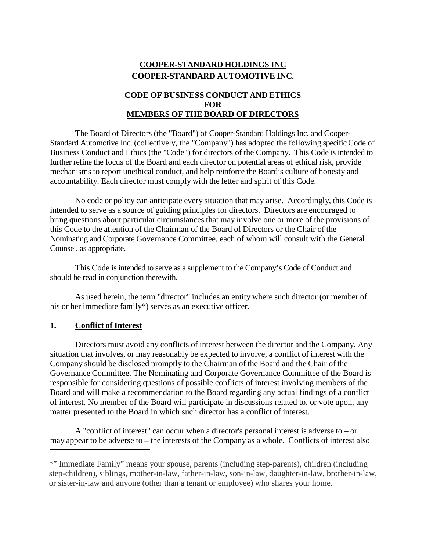# **COOPER-STANDARD HOLDINGS INC COOPER-STANDARD AUTOMOTIVE INC.**

### **CODE OF BUSINESS CONDUCT AND ETHICS FOR MEMBERS OF THE BOARD OF DIRECTORS**

The Board of Directors (the "Board") of Cooper-Standard Holdings Inc. and Cooper-Standard Automotive Inc. (collectively, the "Company") has adopted the following specific Code of Business Conduct and Ethics (the "Code") for directors of the Company. This Code is intended to further refine the focus of the Board and each director on potential areas of ethical risk, provide mechanisms to report unethical conduct, and help reinforce the Board's culture of honesty and accountability. Each director must comply with the letter and spirit of this Code.

No code or policy can anticipate every situation that may arise. Accordingly, this Code is intended to serve as a source of guiding principles for directors. Directors are encouraged to bring questions about particular circumstances that may involve one or more of the provisions of this Code to the attention of the Chairman of the Board of Directors or the Chair of the Nominating and Corporate Governance Committee, each of whom will consult with the General Counsel, as appropriate.

This Code is intended to serve as a supplement to the Company's Code of Conduct and should be read in conjunction therewith.

As used herein, the term "director" includes an entity where such director (or member of his or her immediate family\*) serves as an executive officer.

### **1. Conflict of Interest**

Directors must avoid any conflicts of interest between the director and the Company. Any situation that involves, or may reasonably be expected to involve, a conflict of interest with the Company should be disclosed promptly to the Chairman of the Board and the Chair of the Governance Committee. The Nominating and Corporate Governance Committee of the Board is responsible for considering questions of possible conflicts of interest involving members of the Board and will make a recommendation to the Board regarding any actual findings of a conflict of interest. No member of the Board will participate in discussions related to, or vote upon, any matter presented to the Board in which such director has a conflict of interest.

A "conflict of interest" can occur when a director's personal interest is adverse to – or may appear to be adverse to – the interests of the Company as a whole. Conflicts of interest also

<sup>\*&</sup>quot; Immediate Family" means your spouse, parents (including step-parents), children (including step-children), siblings, mother-in-law, father-in-law, son-in-law, daughter-in-law, brother-in-law, or sister-in-law and anyone (other than a tenant or employee) who shares your home.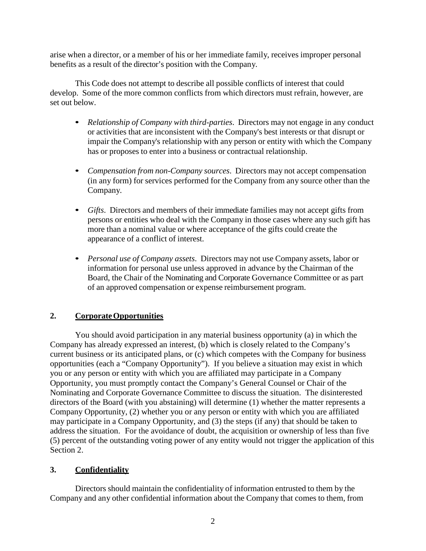arise when a director, or a member of his or her immediate family, receives improper personal benefits as a result of the director's position with the Company.

This Code does not attempt to describe all possible conflicts of interest that could develop. Some of the more common conflicts from which directors must refrain, however, are set out below.

- *Relationship of Company with third-parties*. Directors may not engage in any conduct or activities that are inconsistent with the Company's best interests or that disrupt or impair the Company's relationship with any person or entity with which the Company has or proposes to enter into a business or contractual relationship.
- *Compensation from non-Company sources*. Directors may not accept compensation (in any form) for services performed for the Company from any source other than the Company.
- *Gifts*. Directors and members of their immediate families may not accept gifts from persons or entities who deal with the Company in those cases where any such gift has more than a nominal value or where acceptance of the gifts could create the appearance of a conflict of interest.
- *Personal use of Company assets*. Directors may not use Company assets, labor or information for personal use unless approved in advance by the Chairman of the Board, the Chair of the Nominating and Corporate Governance Committee or as part of an approved compensation or expense reimbursement program.

# **2. CorporateOpportunities**

You should avoid participation in any material business opportunity (a) in which the Company has already expressed an interest, (b) which is closely related to the Company's current business or its anticipated plans, or (c) which competes with the Company for business opportunities (each a "Company Opportunity"). If you believe a situation may exist in which you or any person or entity with which you are affiliated may participate in a Company Opportunity, you must promptly contact the Company's General Counsel or Chair of the Nominating and Corporate Governance Committee to discuss the situation. The disinterested directors of the Board (with you abstaining) will determine (1) whether the matter represents a Company Opportunity, (2) whether you or any person or entity with which you are affiliated may participate in a Company Opportunity, and (3) the steps (if any) that should be taken to address the situation. For the avoidance of doubt, the acquisition or ownership of less than five (5) percent of the outstanding voting power of any entity would not trigger the application of this Section 2.

# **3. Confidentiality**

Directors should maintain the confidentiality of information entrusted to them by the Company and any other confidential information about the Company that comes to them, from